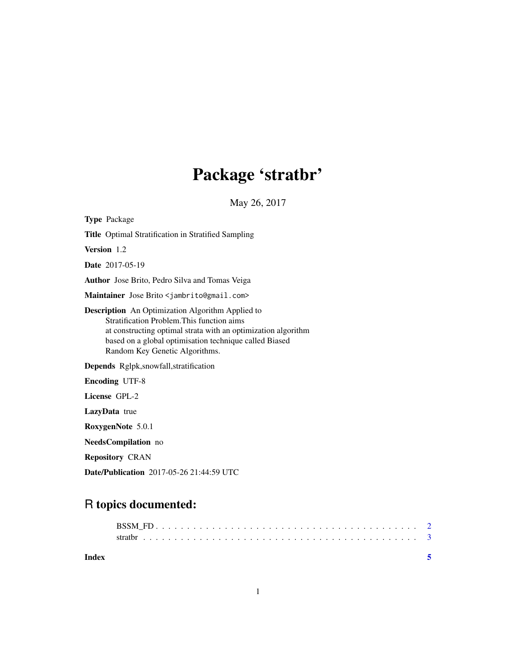## Package 'stratbr'

May 26, 2017

| <b>Type Package</b>                                                                                                                                                                                                                                                |
|--------------------------------------------------------------------------------------------------------------------------------------------------------------------------------------------------------------------------------------------------------------------|
| <b>Title</b> Optimal Stratification in Stratified Sampling                                                                                                                                                                                                         |
| Version 1.2                                                                                                                                                                                                                                                        |
| <b>Date</b> 2017-05-19                                                                                                                                                                                                                                             |
| Author Jose Brito, Pedro Silva and Tomas Veiga                                                                                                                                                                                                                     |
| Maintainer Jose Brito < jambrito@gmail.com>                                                                                                                                                                                                                        |
| <b>Description</b> An Optimization Algorithm Applied to<br>Stratification Problem. This function aims<br>at constructing optimal strata with an optimization algorithm<br>based on a global optimisation technique called Biased<br>Random Key Genetic Algorithms. |
| Depends Rglpk, snowfall, stratification                                                                                                                                                                                                                            |
| <b>Encoding UTF-8</b>                                                                                                                                                                                                                                              |
| License GPL-2                                                                                                                                                                                                                                                      |
| LazyData true                                                                                                                                                                                                                                                      |
| RoxygenNote 5.0.1                                                                                                                                                                                                                                                  |
| <b>NeedsCompilation</b> no                                                                                                                                                                                                                                         |
| <b>Repository CRAN</b>                                                                                                                                                                                                                                             |

Date/Publication 2017-05-26 21:44:59 UTC

### R topics documented:

| Index |  |  |  |  |  |  |  |  |  |  |  |  |  |  |  |  |  |  |  |  |
|-------|--|--|--|--|--|--|--|--|--|--|--|--|--|--|--|--|--|--|--|--|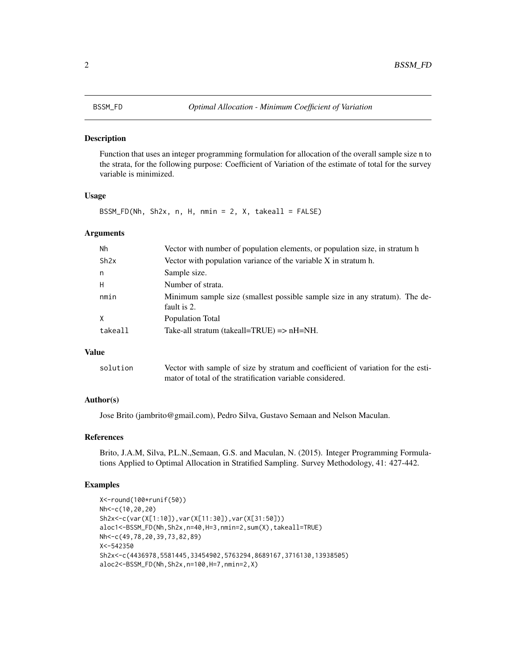#### <span id="page-1-0"></span>Description

Function that uses an integer programming formulation for allocation of the overall sample size n to the strata, for the following purpose: Coefficient of Variation of the estimate of total for the survey variable is minimized.

#### Usage

 $BSSM_FD(Nh, Sh2x, n, H, nmin = 2, X, take all = FALSE)$ 

#### Arguments

| Nh      | Vector with number of population elements, or population size, in stratum h                |
|---------|--------------------------------------------------------------------------------------------|
| Sh2x    | Vector with population variance of the variable X in stratum h.                            |
| n       | Sample size.                                                                               |
| Н       | Number of strata.                                                                          |
| nmin    | Minimum sample size (smallest possible sample size in any stratum). The de-<br>fault is 2. |
| X       | Population Total                                                                           |
| takeall | Take-all stratum (takeall=TRUE) $\Rightarrow$ nH=NH.                                       |

### Value

| solution | Vector with sample of size by stratum and coefficient of variation for the esti- |
|----------|----------------------------------------------------------------------------------|
|          | mator of total of the stratification variable considered.                        |

#### Author(s)

Jose Brito (jambrito@gmail.com), Pedro Silva, Gustavo Semaan and Nelson Maculan.

#### References

Brito, J.A.M, Silva, P.L.N., Semaan, G.S. and Maculan, N. (2015). Integer Programming Formulations Applied to Optimal Allocation in Stratified Sampling. Survey Methodology, 41: 427-442.

#### Examples

```
X<-round(100*runif(50))
Nh<-c(10,20,20)
Sh2x<-c(var(X[1:10]),var(X[11:30]),var(X[31:50]))
aloc1<-BSSM_FD(Nh,Sh2x,n=40,H=3,nmin=2,sum(X),takeall=TRUE)
Nh<-c(49,78,20,39,73,82,89)
X<-542350
Sh2x<-c(4436978,5581445,33454902,5763294,8689167,3716130,13938505)
aloc2<-BSSM_FD(Nh,Sh2x,n=100,H=7,nmin=2,X)
```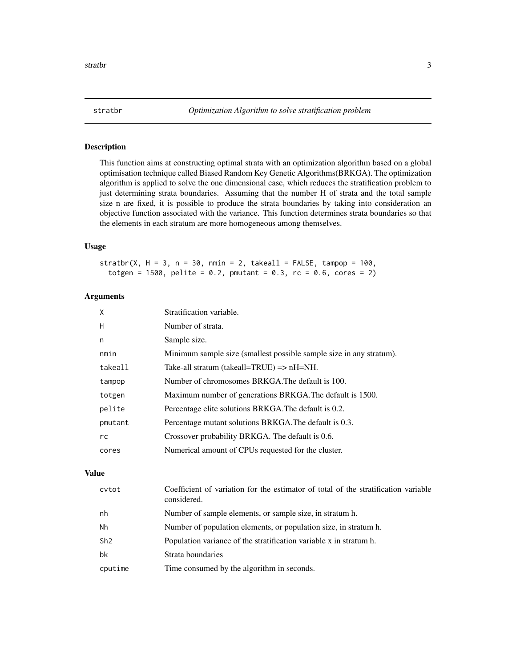<span id="page-2-0"></span>

#### Description

This function aims at constructing optimal strata with an optimization algorithm based on a global optimisation technique called Biased Random Key Genetic Algorithms(BRKGA). The optimization algorithm is applied to solve the one dimensional case, which reduces the stratification problem to just determining strata boundaries. Assuming that the number H of strata and the total sample size n are fixed, it is possible to produce the strata boundaries by taking into consideration an objective function associated with the variance. This function determines strata boundaries so that the elements in each stratum are more homogeneous among themselves.

#### Usage

stratbr(X,  $H = 3$ ,  $n = 30$ ,  $n = 2$ , takeall = FALSE, tampop = 100, totgen = 1500, pelite = 0.2, pmutant = 0.3,  $rc = 0.6$ ,  $cores = 2)$ 

#### Arguments

| X       | Stratification variable.                                            |
|---------|---------------------------------------------------------------------|
| H       | Number of strata.                                                   |
| n       | Sample size.                                                        |
| nmin    | Minimum sample size (smallest possible sample size in any stratum). |
| takeall | Take-all stratum (takeall=TRUE) $\Rightarrow$ nH=NH.                |
| tampop  | Number of chromosomes BRKGA. The default is 100.                    |
| totgen  | Maximum number of generations BRKGA. The default is 1500.           |
| pelite  | Percentage elite solutions BRKGA. The default is 0.2.               |
| pmutant | Percentage mutant solutions BRKGA. The default is 0.3.              |
| rc      | Crossover probability BRKGA. The default is 0.6.                    |
| cores   | Numerical amount of CPUs requested for the cluster.                 |

#### Value

| cytot   | Coefficient of variation for the estimator of total of the stratification variable<br>considered. |
|---------|---------------------------------------------------------------------------------------------------|
| nh      | Number of sample elements, or sample size, in stratum h.                                          |
| Nh      | Number of population elements, or population size, in stratum h.                                  |
| Sh2     | Population variance of the stratification variable x in stratum h.                                |
| bk      | Strata boundaries                                                                                 |
| cputime | Time consumed by the algorithm in seconds.                                                        |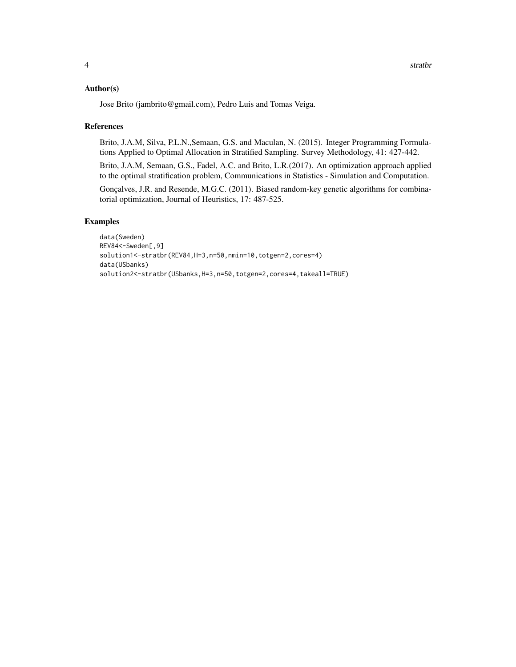#### Author(s)

Jose Brito (jambrito@gmail.com), Pedro Luis and Tomas Veiga.

#### References

Brito, J.A.M, Silva, P.L.N.,Semaan, G.S. and Maculan, N. (2015). Integer Programming Formulations Applied to Optimal Allocation in Stratified Sampling. Survey Methodology, 41: 427-442.

Brito, J.A.M, Semaan, G.S., Fadel, A.C. and Brito, L.R.(2017). An optimization approach applied to the optimal stratification problem, Communications in Statistics - Simulation and Computation.

Gonçalves, J.R. and Resende, M.G.C. (2011). Biased random-key genetic algorithms for combinatorial optimization, Journal of Heuristics, 17: 487-525.

### Examples

```
data(Sweden)
REV84<-Sweden[,9]
solution1<-stratbr(REV84,H=3,n=50,nmin=10,totgen=2,cores=4)
data(USbanks)
solution2<-stratbr(USbanks,H=3,n=50,totgen=2,cores=4,takeall=TRUE)
```